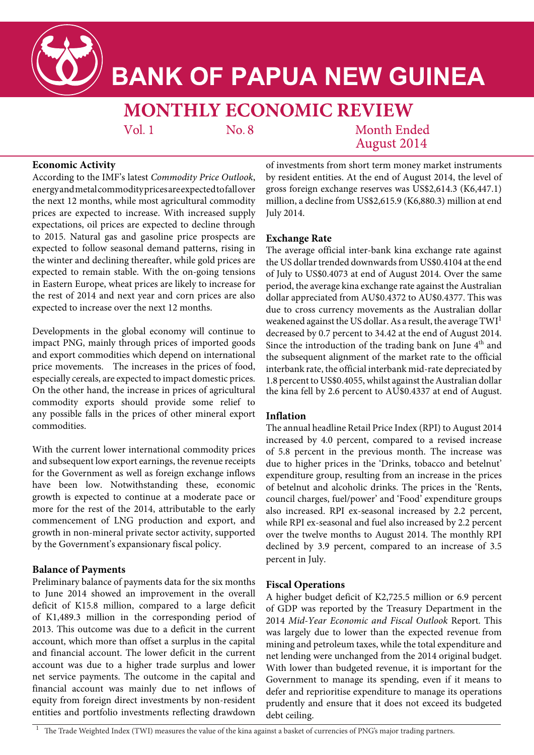

# **BANK OF PAPUA NEW GUINEA**

# **MONTHLY ECONOMIC REVIEW**

 $Vol.1$ 

 $No. 8$ 

Month Ended **August 2014** 

# **Economic Activity**

According to the IMF's latest *Commodity Price Outlook*, energy and metal commodity prices are expected to fall over the next 12 months, while most agricultural commodity prices are expected to increase. With increased supply expectations, oil prices are expected to decline through to 2015. Natural gas and gasoline price prospects are expected to follow seasonal demand patterns, rising in the winter and declining thereafter, while gold prices are expected to remain stable. With the on-going tensions in Eastern Europe, wheat prices are likely to increase for the rest of 2014 and next year and corn prices are also expected to increase over the next 12 months.

Developments in the global economy will continue to impact PNG, mainly through prices of imported goods and export commodities which depend on international price movements. The increases in the prices of food, especially cereals, are expected to impact domestic prices. On the other hand, the increase in prices of agricultural commodity exports should provide some relief to any possible falls in the prices of other mineral export commodities.

With the current lower international commodity prices and subsequent low export earnings, the revenue receipts for the Government as well as foreign exchange inflows have been low. Notwithstanding these, economic growth is expected to continue at a moderate pace or more for the rest of the 2014, attributable to the early commencement of LNG production and export, and growth in non-mineral private sector activity, supported by the Government's expansionary fiscal policy.

## **Balance of Payments**

Preliminary balance of payments data for the six months to June 2014 showed an improvement in the overall deficit of K15.8 million, compared to a large deficit of K1,489.3 million in the corresponding period of 2013. This outcome was due to a deficit in the current account, which more than offset a surplus in the capital and financial account. The lower deficit in the current account was due to a higher trade surplus and lower net service payments. The outcome in the capital and financial account was mainly due to net inflows of equity from foreign direct investments by non-resident entities and portfolio investments reflecting drawdown

of investments from short term money market instruments by resident entities. At the end of August 2014, the level of gross foreign exchange reserves was US\$2,614.3 (K6,447.1) million, a decline from US\$2,615.9 (K6,880.3) million at end July 2014.

## **Exchange Rate**

The average official inter-bank kina exchange rate against the US dollar trended downwards from US\$0.4104 at the end of July to US\$0.4073 at end of August 2014. Over the same period, the average kina exchange rate against the Australian dollar appreciated from AU\$0.4372 to AU\$0.4377. This was due to cross currency movements as the Australian dollar weakened against the US dollar. As a result, the average  $TWI<sup>1</sup>$ decreased by 0.7 percent to 34.42 at the end of August 2014. Since the introduction of the trading bank on June 4<sup>th</sup> and the subsequent alignment of the market rate to the official interbank rate, the official interbank mid-rate depreciated by 1.8 percent to US\$0.4055, whilst against the Australian dollar the kina fell by 2.6 percent to AU\$0.4337 at end of August.

## **Inflation**

The annual headline Retail Price Index (RPI) to August 2014 increased by 4.0 percent, compared to a revised increase of 5.8 percent in the previous month. The increase was due to higher prices in the 'Drinks, tobacco and betelnut' expenditure group, resulting from an increase in the prices of betelnut and alcoholic drinks. The prices in the 'Rents, council charges, fuel/power' and 'Food' expenditure groups also increased. RPI ex-seasonal increased by 2.2 percent, while RPI ex-seasonal and fuel also increased by 2.2 percent over the twelve months to August 2014. The monthly RPI declined by 3.9 percent, compared to an increase of 3.5 percent in July.

#### **Fiscal Operations**

A higher budget deficit of K2,725.5 million or 6.9 percent of GDP was reported by the Treasury Department in the 2014 *Mid-Year Economic and Fiscal Outlook* Report. This was largely due to lower than the expected revenue from mining and petroleum taxes, while the total expenditure and net lending were unchanged from the 2014 original budget. With lower than budgeted revenue, it is important for the Government to manage its spending, even if it means to defer and reprioritise expenditure to manage its operations prudently and ensure that it does not exceed its budgeted debt ceiling.

<sup>1</sup> The Trade Weighted Index (TWI) measures the value of the kina against a basket of currencies of PNG's major trading partners.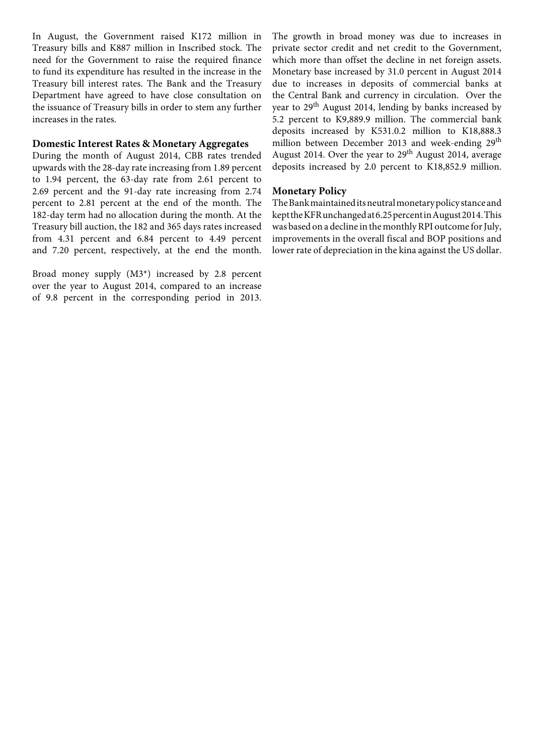In August, the Government raised K172 million in Treasury bills and K887 million in Inscribed stock. The need for the Government to raise the required finance to fund its expenditure has resulted in the increase in the Treasury bill interest rates. The Bank and the Treasury Department have agreed to have close consultation on the issuance of Treasury bills in order to stem any further increases in the rates.

#### **Domestic Interest Rates & Monetary Aggregates**

During the month of August 2014, CBB rates trended upwards with the 28-day rate increasing from 1.89 percent to 1.94 percent, the 63-day rate from 2.61 percent to 2.69 percent and the 91-day rate increasing from 2.74 percent to 2.81 percent at the end of the month. The 182-day term had no allocation during the month. At the Treasury bill auction, the 182 and 365 days rates increased from 4.31 percent and 6.84 percent to 4.49 percent and 7.20 percent, respectively, at the end the month.

Broad money supply (M3\*) increased by 2.8 percent over the year to August 2014, compared to an increase of 9.8 percent in the corresponding period in 2013. The growth in broad money was due to increases in private sector credit and net credit to the Government, which more than offset the decline in net foreign assets. Monetary base increased by 31.0 percent in August 2014 due to increases in deposits of commercial banks at the Central Bank and currency in circulation. Over the year to  $29<sup>th</sup>$  August 2014, lending by banks increased by 5.2 percent to K9,889.9 million. The commercial bank deposits increased by K531.0.2 million to K18,888.3 million between December 2013 and week-ending 29<sup>th</sup> August 2014. Over the year to  $29<sup>th</sup>$  August 2014, average deposits increased by 2.0 percent to K18,852.9 million.

#### **Monetary Policy**

The Bank maintained its neutral monetary policy stance and kept the KFR unchanged at 6.25 percent in August 2014. This was based on a decline in the monthly RPI outcome for July, improvements in the overall fiscal and BOP positions and lower rate of depreciation in the kina against the US dollar.